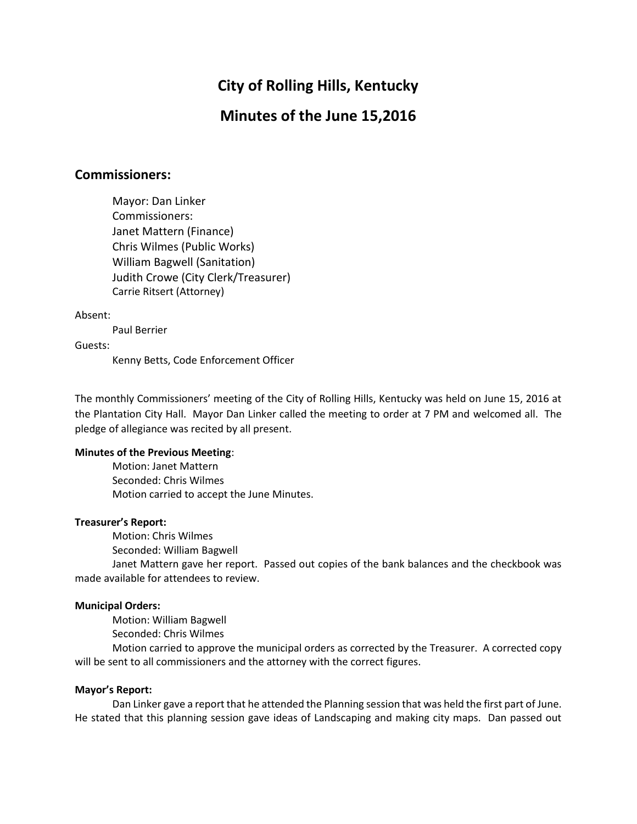# **City of Rolling Hills, Kentucky**

## **Minutes of the June 15,2016**

### **Commissioners:**

Mayor: Dan Linker Commissioners: Janet Mattern (Finance) Chris Wilmes (Public Works) William Bagwell (Sanitation) Judith Crowe (City Clerk/Treasurer) Carrie Ritsert (Attorney)

#### Absent:

Paul Berrier

Guests:

Kenny Betts, Code Enforcement Officer

The monthly Commissioners' meeting of the City of Rolling Hills, Kentucky was held on June 15, 2016 at the Plantation City Hall. Mayor Dan Linker called the meeting to order at 7 PM and welcomed all. The pledge of allegiance was recited by all present.

#### **Minutes of the Previous Meeting**:

Motion: Janet Mattern Seconded: Chris Wilmes Motion carried to accept the June Minutes.

#### **Treasurer's Report:**

Motion: Chris Wilmes

Seconded: William Bagwell

Janet Mattern gave her report. Passed out copies of the bank balances and the checkbook was made available for attendees to review.

#### **Municipal Orders:**

Motion: William Bagwell

Seconded: Chris Wilmes

Motion carried to approve the municipal orders as corrected by the Treasurer. A corrected copy will be sent to all commissioners and the attorney with the correct figures.

#### **Mayor's Report:**

Dan Linker gave a report that he attended the Planning session that was held the first part of June. He stated that this planning session gave ideas of Landscaping and making city maps. Dan passed out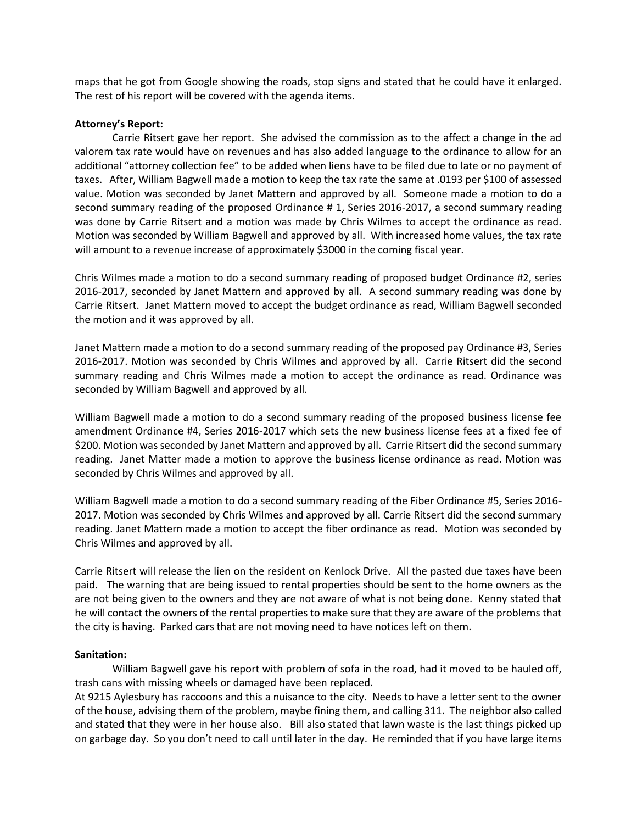maps that he got from Google showing the roads, stop signs and stated that he could have it enlarged. The rest of his report will be covered with the agenda items.

#### **Attorney's Report:**

Carrie Ritsert gave her report. She advised the commission as to the affect a change in the ad valorem tax rate would have on revenues and has also added language to the ordinance to allow for an additional "attorney collection fee" to be added when liens have to be filed due to late or no payment of taxes. After, William Bagwell made a motion to keep the tax rate the same at .0193 per \$100 of assessed value. Motion was seconded by Janet Mattern and approved by all. Someone made a motion to do a second summary reading of the proposed Ordinance # 1, Series 2016-2017, a second summary reading was done by Carrie Ritsert and a motion was made by Chris Wilmes to accept the ordinance as read. Motion was seconded by William Bagwell and approved by all. With increased home values, the tax rate will amount to a revenue increase of approximately \$3000 in the coming fiscal year.

Chris Wilmes made a motion to do a second summary reading of proposed budget Ordinance #2, series 2016-2017, seconded by Janet Mattern and approved by all. A second summary reading was done by Carrie Ritsert. Janet Mattern moved to accept the budget ordinance as read, William Bagwell seconded the motion and it was approved by all.

Janet Mattern made a motion to do a second summary reading of the proposed pay Ordinance #3, Series 2016-2017. Motion was seconded by Chris Wilmes and approved by all. Carrie Ritsert did the second summary reading and Chris Wilmes made a motion to accept the ordinance as read. Ordinance was seconded by William Bagwell and approved by all.

William Bagwell made a motion to do a second summary reading of the proposed business license fee amendment Ordinance #4, Series 2016-2017 which sets the new business license fees at a fixed fee of \$200. Motion was seconded by Janet Mattern and approved by all. Carrie Ritsert did the second summary reading. Janet Matter made a motion to approve the business license ordinance as read. Motion was seconded by Chris Wilmes and approved by all.

William Bagwell made a motion to do a second summary reading of the Fiber Ordinance #5, Series 2016- 2017. Motion was seconded by Chris Wilmes and approved by all. Carrie Ritsert did the second summary reading. Janet Mattern made a motion to accept the fiber ordinance as read. Motion was seconded by Chris Wilmes and approved by all.

Carrie Ritsert will release the lien on the resident on Kenlock Drive. All the pasted due taxes have been paid. The warning that are being issued to rental properties should be sent to the home owners as the are not being given to the owners and they are not aware of what is not being done. Kenny stated that he will contact the owners of the rental properties to make sure that they are aware of the problems that the city is having. Parked cars that are not moving need to have notices left on them.

#### **Sanitation:**

William Bagwell gave his report with problem of sofa in the road, had it moved to be hauled off, trash cans with missing wheels or damaged have been replaced.

At 9215 Aylesbury has raccoons and this a nuisance to the city. Needs to have a letter sent to the owner of the house, advising them of the problem, maybe fining them, and calling 311. The neighbor also called and stated that they were in her house also. Bill also stated that lawn waste is the last things picked up on garbage day. So you don't need to call until later in the day. He reminded that if you have large items